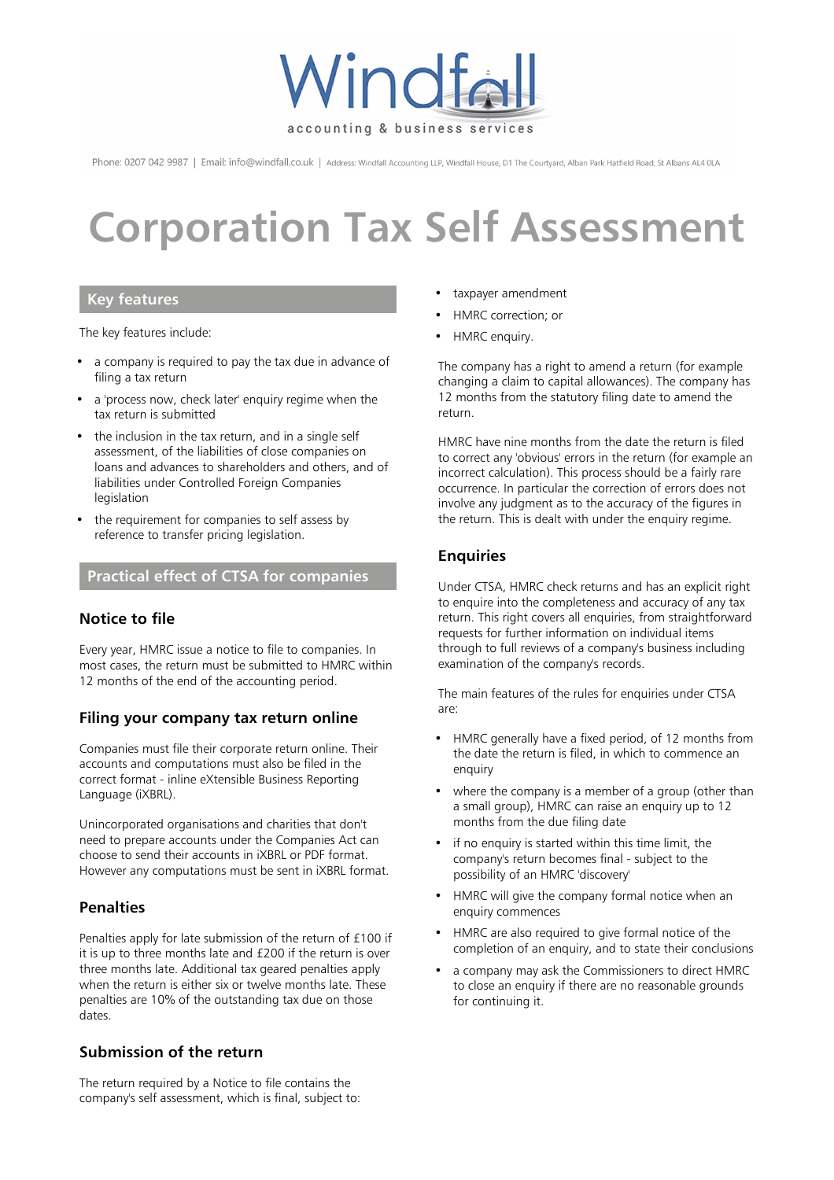

Phone: 0207 042 9987 | Email: info@windfall.co.uk | Address: Windfall Accounting LLP, Windfall House, D1 The Courtyard, Alban Park Hatfield Road, St Albans AL4 0LA

# **Corporation Tax Self Assessment**

# **Key features**

The key features include:

- a company is required to pay the tax due in advance of filing a tax return
- a 'process now, check later' enquiry regime when the tax return is submitted
- the inclusion in the tax return, and in a single self assessment, of the liabilities of close companies on loans and advances to shareholders and others, and of liabilities under Controlled Foreign Companies legislation
- the requirement for companies to self assess by reference to transfer pricing legislation.

# **Practical effect of CTSA for companies**

## **Notice to file**

Every year, HMRC issue a notice to file to companies. In most cases, the return must be submitted to HMRC within 12 months of the end of the accounting period.

## **Filing your company tax return online**

Companies must file their corporate return online. Their accounts and computations must also be filed in the correct format - inline eXtensible Business Reporting Language (iXBRL).

Unincorporated organisations and charities that don't need to prepare accounts under the Companies Act can choose to send their accounts in iXBRL or PDF format. However any computations must be sent in iXBRL format.

## **Penalties**

Penalties apply for late submission of the return of £100 if it is up to three months late and £200 if the return is over three months late. Additional tax geared penalties apply when the return is either six or twelve months late. These penalties are 10% of the outstanding tax due on those dates.

## **Submission of the return**

The return required by a Notice to file contains the company's self assessment, which is final, subject to:

- taxpayer amendment
- HMRC correction; or
- HMRC enquiry.

The company has a right to amend a return (for example changing a claim to capital allowances). The company has 12 months from the statutory filing date to amend the return.

HMRC have nine months from the date the return is filed to correct any 'obvious' errors in the return (for example an incorrect calculation). This process should be a fairly rare occurrence. In particular the correction of errors does not involve any judgment as to the accuracy of the figures in the return. This is dealt with under the enquiry regime.

# **Enquiries**

Under CTSA, HMRC check returns and has an explicit right to enquire into the completeness and accuracy of any tax return. This right covers all enquiries, from straightforward requests for further information on individual items through to full reviews of a company's business including examination of the company's records.

The main features of the rules for enquiries under CTSA are:

- HMRC generally have a fixed period, of 12 months from the date the return is filed, in which to commence an enquiry
- where the company is a member of a group (other than a small group), HMRC can raise an enquiry up to 12 months from the due filing date
- if no enquiry is started within this time limit, the company's return becomes final - subject to the possibility of an HMRC 'discovery'
- HMRC will give the company formal notice when an enquiry commences
- HMRC are also required to give formal notice of the completion of an enquiry, and to state their conclusions
- a company may ask the Commissioners to direct HMRC to close an enquiry if there are no reasonable grounds for continuing it.